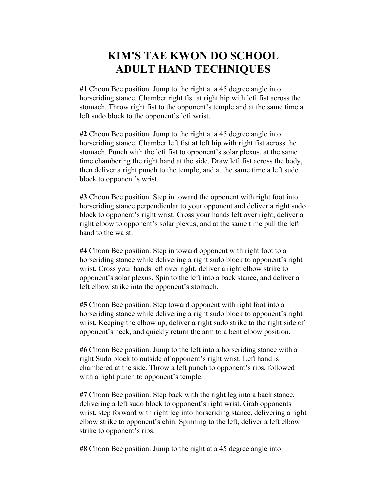## **KIM'S TAE KWON DO SCHOOL ADULT HAND TECHNIQUES**

**#1** Choon Bee position. Jump to the right at a 45 degree angle into horseriding stance. Chamber right fist at right hip with left fist across the stomach. Throw right fist to the opponent's temple and at the same time a left sudo block to the opponent's left wrist.

**#2** Choon Bee position. Jump to the right at a 45 degree angle into horseriding stance. Chamber left fist at left hip with right fist across the stomach. Punch with the left fist to opponent's solar plexus, at the same time chambering the right hand at the side. Draw left fist across the body, then deliver a right punch to the temple, and at the same time a left sudo block to opponent's wrist.

**#3** Choon Bee position. Step in toward the opponent with right foot into horseriding stance perpendicular to your opponent and deliver a right sudo block to opponent's right wrist. Cross your hands left over right, deliver a right elbow to opponent's solar plexus, and at the same time pull the left hand to the waist.

**#4** Choon Bee position. Step in toward opponent with right foot to a horseriding stance while delivering a right sudo block to opponent's right wrist. Cross your hands left over right, deliver a right elbow strike to opponent's solar plexus. Spin to the left into a back stance, and deliver a left elbow strike into the opponent's stomach.

**#5** Choon Bee position. Step toward opponent with right foot into a horseriding stance while delivering a right sudo block to opponent's right wrist. Keeping the elbow up, deliver a right sudo strike to the right side of opponent's neck, and quickly return the arm to a bent elbow position.

**#6** Choon Bee position. Jump to the left into a horseriding stance with a right Sudo block to outside of opponent's right wrist. Left hand is chambered at the side. Throw a left punch to opponent's ribs, followed with a right punch to opponent's temple.

**#7** Choon Bee position. Step back with the right leg into a back stance, delivering a left sudo block to opponent's right wrist. Grab opponents wrist, step forward with right leg into horseriding stance, delivering a right elbow strike to opponent's chin. Spinning to the left, deliver a left elbow strike to opponent's ribs.

**#8** Choon Bee position. Jump to the right at a 45 degree angle into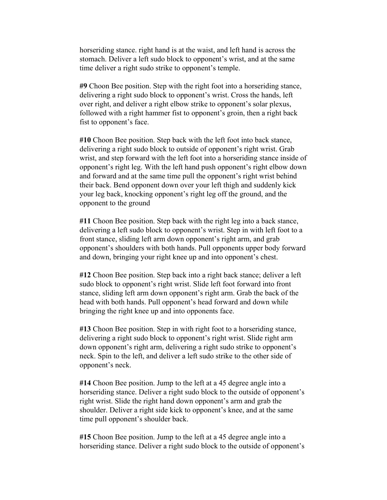horseriding stance. right hand is at the waist, and left hand is across the stomach. Deliver a left sudo block to opponent's wrist, and at the same time deliver a right sudo strike to opponent's temple.

**#9** Choon Bee position. Step with the right foot into a horseriding stance, delivering a right sudo block to opponent's wrist. Cross the hands, left over right, and deliver a right elbow strike to opponent's solar plexus, followed with a right hammer fist to opponent's groin, then a right back fist to opponent's face.

**#10** Choon Bee position. Step back with the left foot into back stance, delivering a right sudo block to outside of opponent's right wrist. Grab wrist, and step forward with the left foot into a horseriding stance inside of opponent's right leg. With the left hand push opponent's right elbow down and forward and at the same time pull the opponent's right wrist behind their back. Bend opponent down over your left thigh and suddenly kick your leg back, knocking opponent's right leg off the ground, and the opponent to the ground

**#11** Choon Bee position. Step back with the right leg into a back stance, delivering a left sudo block to opponent's wrist. Step in with left foot to a front stance, sliding left arm down opponent's right arm, and grab opponent's shoulders with both hands. Pull opponents upper body forward and down, bringing your right knee up and into opponent's chest.

**#12** Choon Bee position. Step back into a right back stance; deliver a left sudo block to opponent's right wrist. Slide left foot forward into front stance, sliding left arm down opponent's right arm. Grab the back of the head with both hands. Pull opponent's head forward and down while bringing the right knee up and into opponents face.

**#13** Choon Bee position. Step in with right foot to a horseriding stance, delivering a right sudo block to opponent's right wrist. Slide right arm down opponent's right arm, delivering a right sudo strike to opponent's neck. Spin to the left, and deliver a left sudo strike to the other side of opponent's neck.

**#14** Choon Bee position. Jump to the left at a 45 degree angle into a horseriding stance. Deliver a right sudo block to the outside of opponent's right wrist. Slide the right hand down opponent's arm and grab the shoulder. Deliver a right side kick to opponent's knee, and at the same time pull opponent's shoulder back.

**#15** Choon Bee position. Jump to the left at a 45 degree angle into a horseriding stance. Deliver a right sudo block to the outside of opponent's